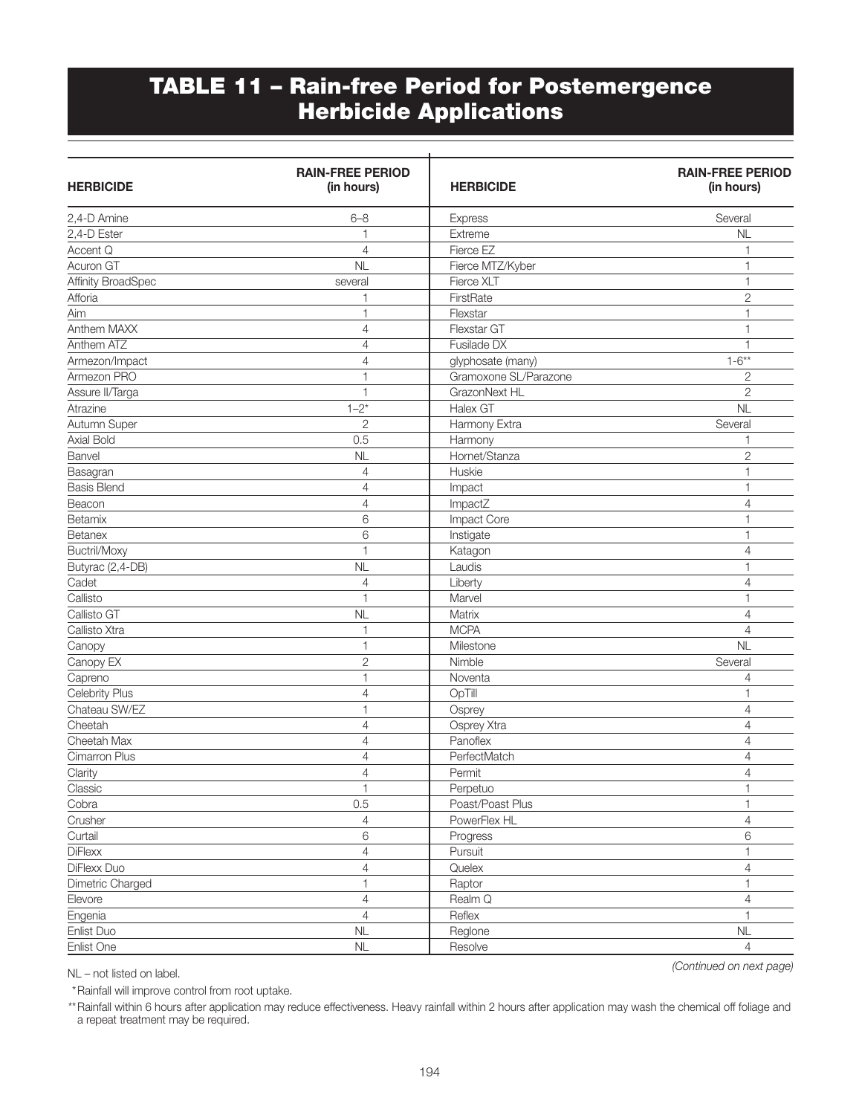## TABLE 11 – Rain-free Period for Postemergence Herbicide Applications

| <b>HERBICIDE</b>   | <b>RAIN-FREE PERIOD</b><br>(in hours) | <b>HERBICIDE</b>      | <b>RAIN-FREE PERIOD</b><br>(in hours) |
|--------------------|---------------------------------------|-----------------------|---------------------------------------|
| 2,4-D Amine        | $6 - 8$                               | <b>Express</b>        | Several                               |
| 2,4-D Ester        | 1                                     | Extreme               | NL                                    |
| Accent Q           | 4                                     | Fierce EZ             | 1                                     |
| Acuron GT          | NL                                    | Fierce MTZ/Kyber      | 1                                     |
| Affinity BroadSpec | several                               | Fierce XLT            | $\mathbf{1}$                          |
| Afforia            | $\overline{\phantom{a}}$              | FirstRate             | $\overline{c}$                        |
| Aim                | $\mathbf{1}$                          | Flexstar              | 1                                     |
| Anthem MAXX        | 4                                     | Flexstar GT           | 1                                     |
| Anthem ATZ         | $\overline{4}$                        | Fusilade DX           | 1                                     |
| Armezon/Impact     | 4                                     | glyphosate (many)     | $1 - 6**$                             |
| Armezon PRO        | 1                                     | Gramoxone SL/Parazone | $\overline{2}$                        |
| Assure II/Targa    | $\mathbf{1}$                          | GrazonNext HL         | $\overline{2}$                        |
| Atrazine           | $1 - 2^*$                             | Halex GT              | NL                                    |
| Autumn Super       | $\overline{c}$                        | Harmony Extra         | Several                               |
| Axial Bold         | 0.5                                   | Harmony               | 1                                     |
| Banvel             | NL                                    | Hornet/Stanza         | $\overline{c}$                        |
| Basagran           | $\overline{4}$                        | Huskie                | 1                                     |
| <b>Basis Blend</b> | 4                                     | Impact                | 1                                     |
| Beacon             | $\overline{4}$                        | ImpactZ               | 4                                     |
| Betamix            | 6                                     | Impact Core           | 1                                     |
| Betanex            | 6                                     | Instigate             | $\mathbf{1}$                          |
| Buctril/Moxy       | $\mathbf{1}$                          | Katagon               | 4                                     |
| Butyrac (2,4-DB)   | NL                                    | Laudis                | $\mathbf{1}$                          |
| Cadet              | 4                                     | Liberty               | 4                                     |
| Callisto           | 1                                     | Marvel                | 1                                     |
| Callisto GT        | <b>NL</b>                             | Matrix                | 4                                     |
| Callisto Xtra      | 1                                     | <b>MCPA</b>           | $\overline{4}$                        |
| Canopy             | $\mathbf{1}$                          | Milestone             | NL                                    |
| Canopy EX          | $\overline{2}$                        | Nimble                | Several                               |
| Capreno            | $\mathbf{1}$                          | Noventa               | 4                                     |
| Celebrity Plus     | 4                                     | OpTill                | 1                                     |
| Chateau SW/EZ      | 1                                     | Osprey                | 4                                     |
| Cheetah            | 4                                     | Osprey Xtra           | 4                                     |
| Cheetah Max        | 4                                     | Panoflex              | 4                                     |
| Cimarron Plus      | 4                                     | PerfectMatch          | 4                                     |
| Clarity            | 4                                     | Permit                | 4                                     |
| Classic            | 1                                     | Perpetuo              | $\mathbf{1}$                          |
| Cobra              | 0.5                                   | Poast/Poast Plus      | 1                                     |
| Crusher            | $\overline{4}$                        | PowerFlex HL          | $\overline{4}$                        |
| Curtail            | $\,6\,$                               | Progress              | 6                                     |
| <b>DiFlexx</b>     | $\overline{4}$                        | Pursuit               | 1                                     |
| DiFlexx Duo        | 4                                     | Quelex                | $\overline{4}$                        |
| Dimetric Charged   | 1                                     | Raptor                | 1                                     |
| Elevore            | $\overline{4}$                        | Realm Q               | $\overline{4}$                        |
| Engenia            | $\overline{4}$                        | Reflex                | $\mathbf{1}$                          |
| Enlist Duo         | NL                                    | Reglone               | $\mathsf{NL}$                         |
| Enlist_One         | NL                                    | Resolve               | $\overline{4}$                        |
|                    |                                       |                       |                                       |

NL – not listed on label.

\*Rainfall will improve control from root uptake.

\*\* Rainfall within 6 hours after application may reduce effectiveness. Heavy rainfall within 2 hours after application may wash the chemical off foliage and a repeat treatment may be required.

*(Continued on next page)*